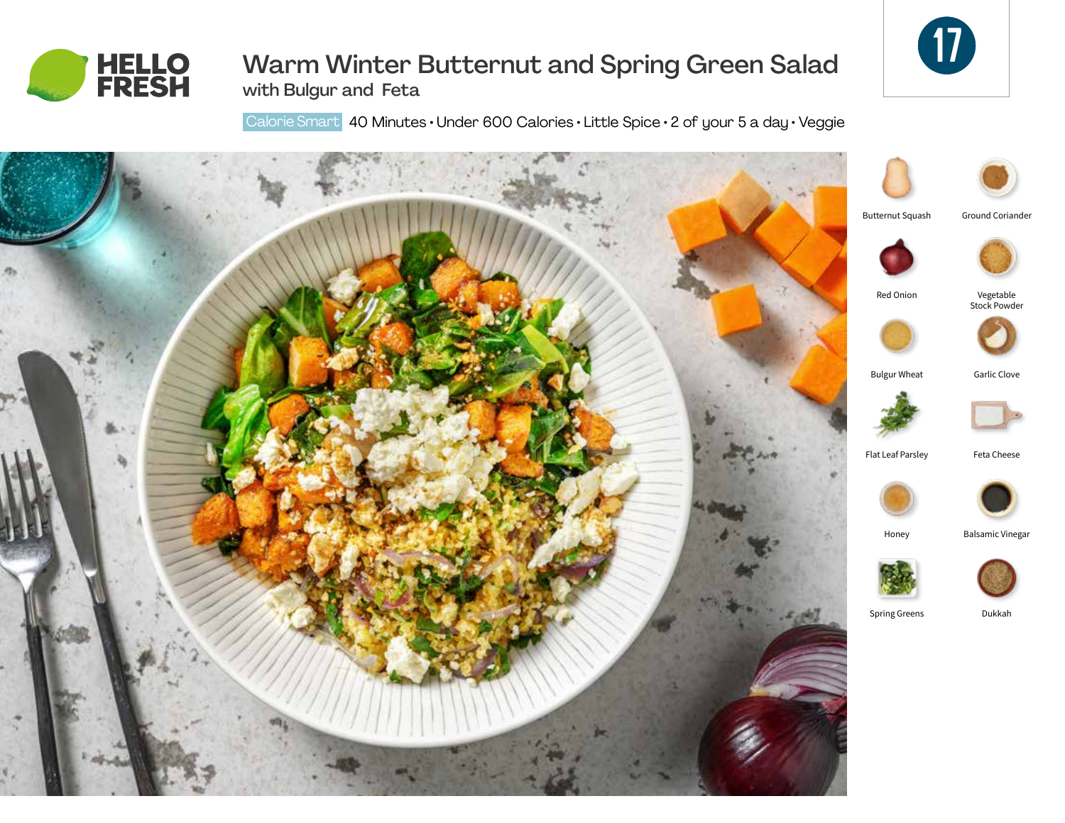



# Warm Winter Butternut and Spring Green Salad with Bulgur and Feta

Calorie Smart 40 Minutes • Under 600 Calories • Little Spice • 2 of your 5 a day • Veggie